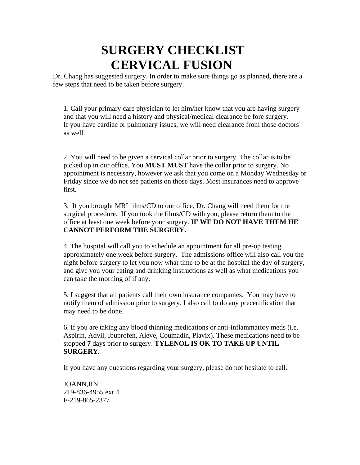# **SURGERY CHECKLIST CERVICAL FUSION**

Dr. Chang has suggested surgery. In order to make sure things go as planned, there are a few steps that need to be taken before surgery.

1. Call your primary care physician to let him/her know that you are having surgery and that you will need a history and physical/medical clearance be fore surgery. If you have cardiac or pulmonary issues, we will need clearance from those doctors as well.

2. You will need to be given a cervical collar prior to surgery. The collar is to be picked up in our office. You **MUST MUST** have the collar prior to surgery. No appointment is necessary, however we ask that you come on a Monday Wednesday or Friday since we do not see patients on those days. Most insurances need to approve first.

3. If you brought MRI films/CD to our office, Dr. Chang will need them for the surgical procedure. If you took the films/CD with you, please return them to the office at least one week before your surgery. **IF WE DO NOT HAVE THEM HE CANNOT PERFORM THE SURGERY.**

4. The hospital will call you to schedule an appointment for all pre-op testing approximately one week before surgery. The admissions office will also call you the night before surgery to let you now what time to be at the hospital the day of surgery, and give you your eating and drinking instructions as well as what medications you can take the morning of if any.

5. I suggest that all patients call their own insurance companies. You may have to notify them of admission prior to surgery. I also call to do any precertification that may need to be done.

6. If you are taking any blood thinning medications or anti-inflammatory meds (i.e. Aspirin, Advil, Ibuprofen, Aleve, Coumadin, Plavix). These medications need to be stopped **7** days prior to surgery. **TYLENOL IS OK TO TAKE UP UNTIL SURGERY.**

If you have any questions regarding your surgery, please do not hesitate to call.

JOANN,RN 219-836-4955 ext 4 F-219-865-2377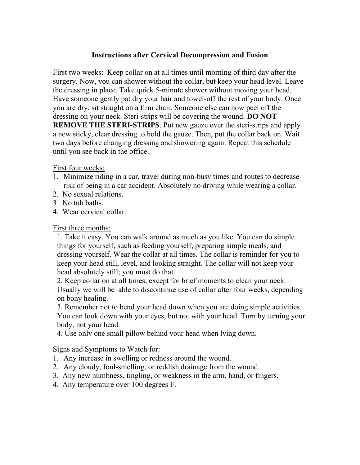### **Instructions after Cervical Decompression and Fusion**

First two weeks: Keep collar on at all times until morning of third day after the surgery. Now, you can shower without the collar, but keep your head level. Leave the dressing in place. Take quick 5-minute shower without moving your head. Have someone gently pat dry your hair and towel-off the rest of your body. Once you are dry, sit straight on a firm chair. Someone else can now peel off the dressing on your neck. Steri-strips will be covering the wound. **DO NOT REMOVE THE STERI-STRIPS**. Put new gauze over the steri-strips and apply a new sticky, clear dressing to hold the gauze. Then, put the collar back on. Wait two days before changing dressing and showering again. Repeat this schedule until you see back in the office.

First four weeks:

- 1. Minimize riding in a car, travel during non-busy times and routes to decrease risk of being in a car accident. Absolutely no driving while wearing a collar.
- 2. No sexual relations.
- 3 No tub baths.
- 4. Wear cervical collar.

#### First three months:

1. Take it easy. You can walk around as much as you like. You can do simple things for yourself, such as feeding yourself, preparing simple meals, and dressing yourself. Wear the collar at all times. The collar is reminder for you to keep your head still, level, and looking straight. The collar will not keep your head absolutely still; you must do that.

2. Keep collar on at all times, except for brief moments to clean your neck. Usually we will be able to discontinue use of collar after four weeks, depending on bony healing.

3. Remember not to bend your head down when you are doing simple activities. You can look down with your eyes, but not with your head. Turn by turning your body, not your head.

4. Use only one small pillow behind your head when lying down.

#### Signs and Symptoms to Watch for:

- 1. Any increase in swelling or redness around the wound.
- 2. Any cloudy, foul-smelling, or reddish drainage from the wound.
- 3. Any new numbness, tingling, or weakness in the arm, hand, or fingers.
- 4. Any temperature over 100 degrees F.